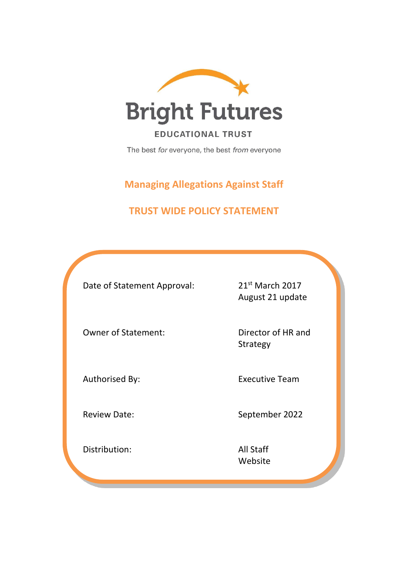

**EDUCATIONAL TRUST** 

The best for everyone, the best from everyone

**Managing Allegations Against Staff**

# **TRUST WIDE POLICY STATEMENT**

Date of Statement Approval: 21<sup>st</sup> March 2017

August 21 update

Owner of Statement: Director of HR and

Strategy

Authorised By: Executive Team

Review Date: September 2022

Distribution: All Staff Website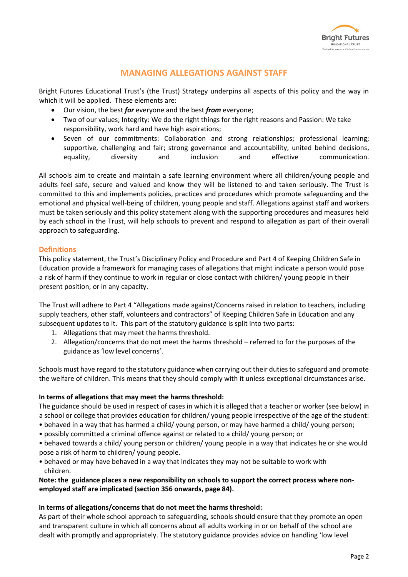

# **MANAGING ALLEGATIONS AGAINST STAFF**

Bright Futures Educational Trust's (the Trust) Strategy underpins all aspects of this policy and the way in which it will be applied. These elements are:

- Our vision, the best *for* everyone and the best *from* everyone;
- Two of our values; Integrity: We do the right things for the right reasons and Passion: We take responsibility, work hard and have high aspirations;
- Seven of our commitments: Collaboration and strong relationships; professional learning; supportive, challenging and fair; strong governance and accountability, united behind decisions, equality, diversity and inclusion and effective communication.

All schools aim to create and maintain a safe learning environment where all children/young people and adults feel safe, secure and valued and know they will be listened to and taken seriously. The Trust is committed to this and implements policies, practices and procedures which promote safeguarding and the emotional and physical well-being of children, young people and staff. Allegations against staff and workers must be taken seriously and this policy statement along with the supporting procedures and measures held by each school in the Trust, will help schools to prevent and respond to allegation as part of their overall approach to safeguarding.

# **Definitions**

This policy statement, the Trust's Disciplinary Policy and Procedure and Part 4 of Keeping Children Safe in Education provide a framework for managing cases of allegations that might indicate a person would pose a risk of harm if they continue to work in regular or close contact with children/ young people in their present position, or in any capacity.

The Trust will adhere to Part 4 "Allegations made against/Concerns raised in relation to teachers, including supply teachers, other staff, volunteers and contractors" of Keeping Children Safe in Education and any subsequent updates to it. This part of the statutory guidance is split into two parts:

- 1. Allegations that may meet the harms threshold.
- 2. Allegation/concerns that do not meet the harms threshold referred to for the purposes of the guidance as 'low level concerns'.

Schools must have regard to the statutory guidance when carrying out their duties to safeguard and promote the welfare of children. This means that they should comply with it unless exceptional circumstances arise.

#### **In terms of allegations that may meet the harms threshold:**

The guidance should be used in respect of cases in which it is alleged that a teacher or worker (see below) in a school or college that provides education for children/ young people irrespective of the age of the student:

- behaved in a way that has harmed a child/ young person, or may have harmed a child/ young person;
- possibly committed a criminal offence against or related to a child/ young person; or
- behaved towards a child/ young person or children/ young people in a way that indicates he or she would pose a risk of harm to children/ young people.
- behaved or may have behaved in a way that indicates they may not be suitable to work with children.

### **Note: the guidance places a new responsibility on schools to support the correct process where nonemployed staff are implicated (section 356 onwards, page 84).**

#### **In terms of allegations/concerns that do not meet the harms threshold:**

As part of their whole school approach to safeguarding, schools should ensure that they promote an open and transparent culture in which all concerns about all adults working in or on behalf of the school are dealt with promptly and appropriately. The statutory guidance provides advice on handling 'low level